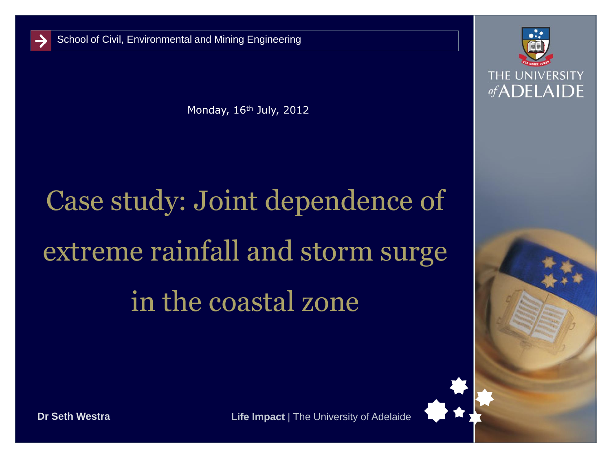Monday, 16<sup>th</sup> July, 2012

# Case study: Joint dependence of extreme rainfall and storm surge in the coastal zone





**Dr Seth Westra**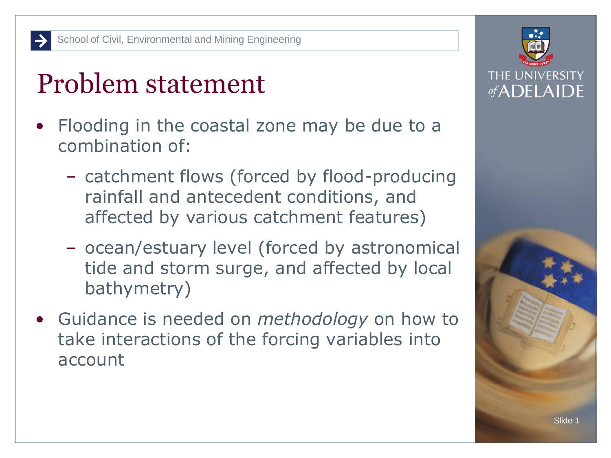### Problem statement

- Flooding in the coastal zone may be due to a combination of:
	- catchment flows (forced by flood-producing rainfall and antecedent conditions, and affected by various catchment features)
	- ocean/estuary level (forced by astronomical tide and storm surge, and affected by local bathymetry)
- Guidance is needed on *methodology* on how to take interactions of the forcing variables into account

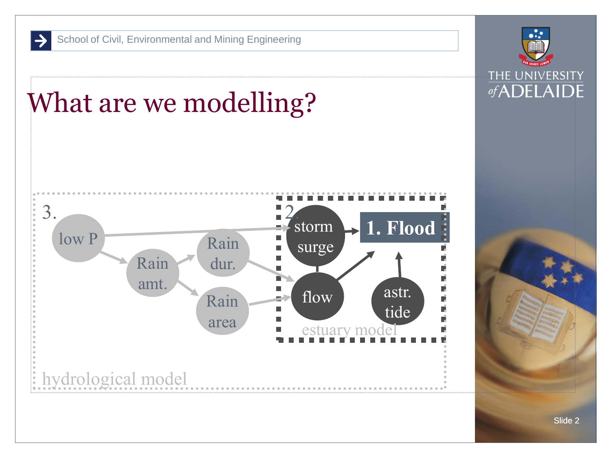



THE UNIVERSITY  $\overline{of}$ ADELAIDE

Slide 2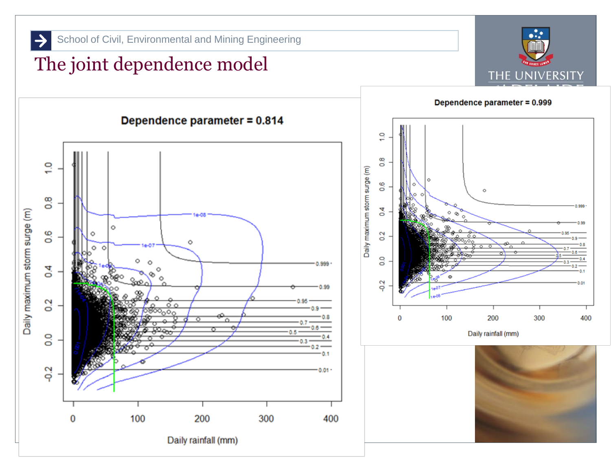### The joint dependence model



Dependence parameter = 0.999





Daily rainfall (mm)

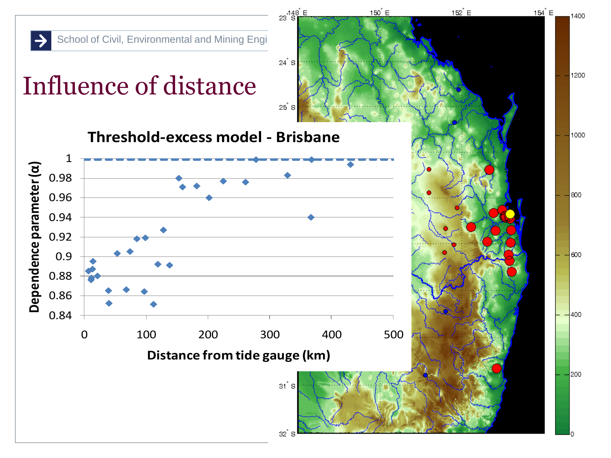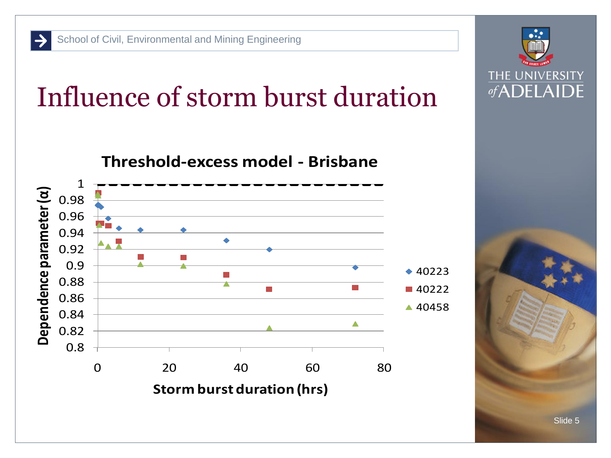### Influence of storm burst duration



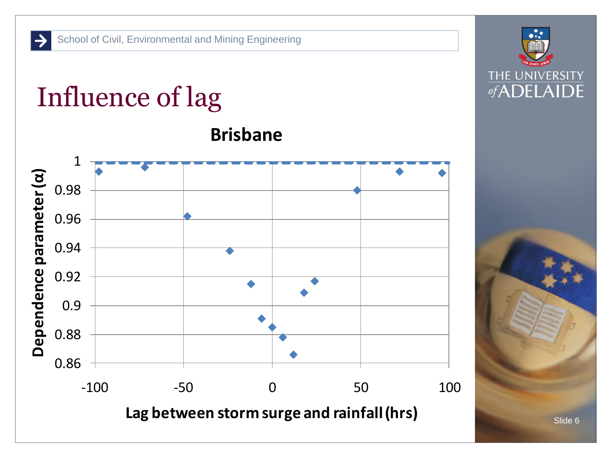## Influence of lag





Slide 6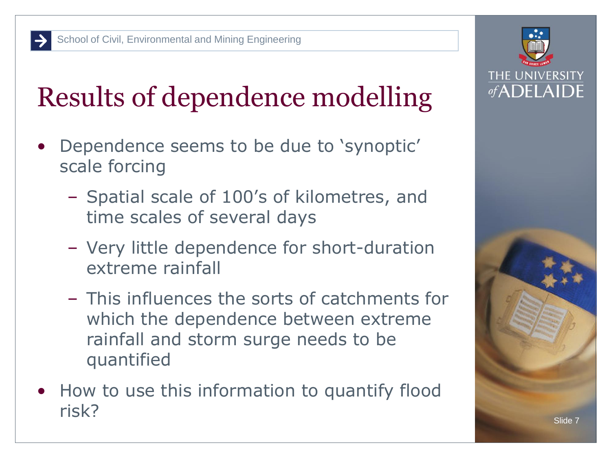## Results of dependence modelling

- Dependence seems to be due to 'synoptic' scale forcing
	- Spatial scale of 100's of kilometres, and time scales of several days
	- Very little dependence for short-duration extreme rainfall
	- This influences the sorts of catchments for which the dependence between extreme rainfall and storm surge needs to be quantified
- How to use this information to quantify flood risk?



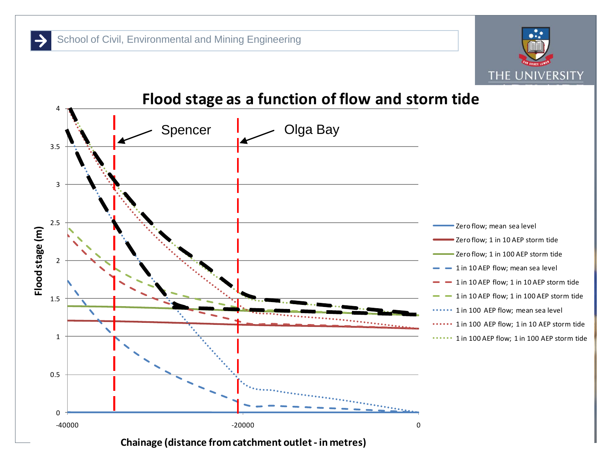$\rightarrow$ 





**Chainage (distance from catchment outlet - in metres)**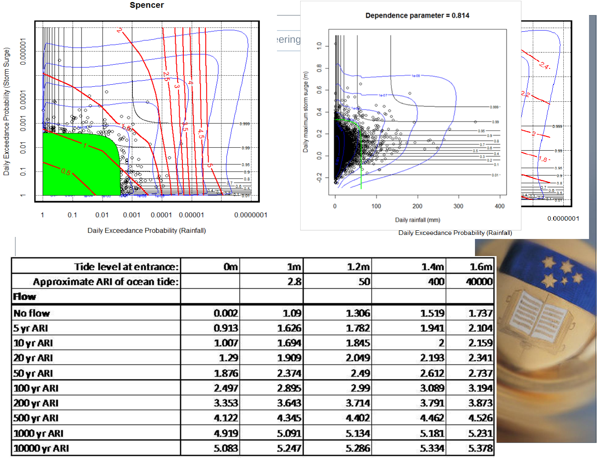#### **Spencer**



| Tide level at entrance:        | 0m    | 1 <sub>m</sub> | 1.2 <sub>m</sub> | 1.4 <sub>m</sub> | 1.6 <sub>m</sub> |
|--------------------------------|-------|----------------|------------------|------------------|------------------|
| Approximate ARI of ocean tide: |       | 2.8            | 50               | 400              | 40000            |
| <b>How</b>                     |       |                |                  |                  |                  |
| No flow                        | 0.002 | 1.09           | 1.306            | 1.519            | 1.737            |
| 5 yr ARI                       | 0.913 | 1.626          | 1.782            | 1.941            | 2.104            |
| 10 yr ARI                      | 1.007 | 1.694          | 1.845            |                  | 2.159            |
| 20 yr ARI                      | 1.29  | 1.909          | 2.049            | 2.193            | 2.341            |
| 50 yr ARI                      | 1.876 | 2.374          | 2.49             | 2.612            | 2737             |
| 100 yr ARI                     | 2.497 | 2.895          | 2.99             | 3.089            | 3.194            |
| 200 yr ARI                     | 3.353 | 3.643          | 3.714            | 3.791            | 3.873            |
| 500 yr ARI                     | 4.122 | 4.345          | 4.402            | 4.462            | 4.526            |
| 1000 yr ARI                    | 4.919 | 5.091          | 5.134            | 5.181            | 5.231            |
| 10000 yr ARI                   | 5.083 | 5.247          | 5.286            | 5.334            | 5.378            |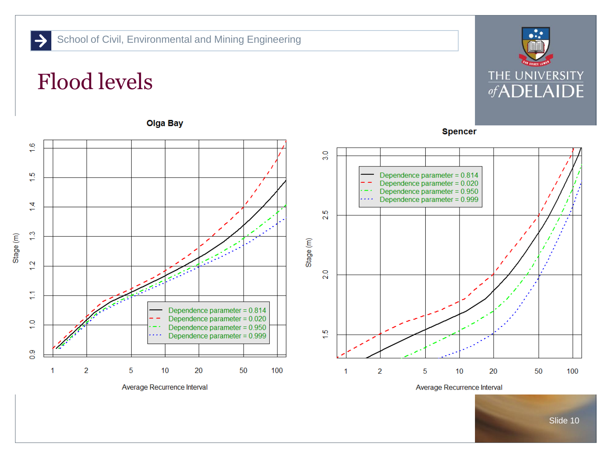#### School of Civil, Environmental and Mining Engineering

### Flood levels

 $\rightarrow$ 



**Olga Bay** 



Slide 10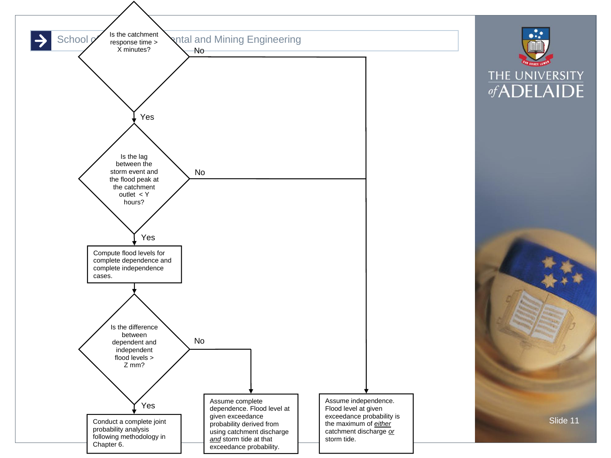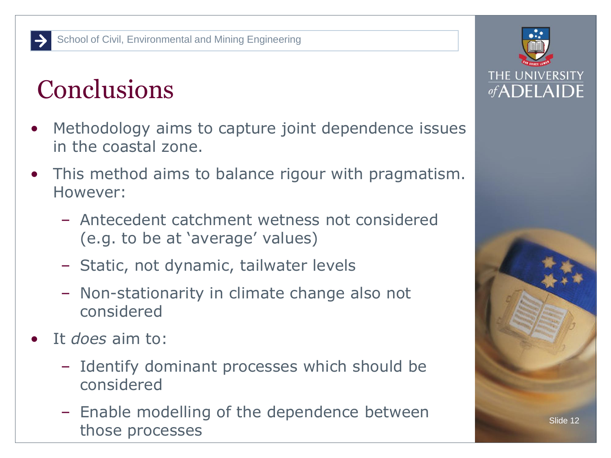### **Conclusions**

- Methodology aims to capture joint dependence issues in the coastal zone.
- This method aims to balance rigour with pragmatism. However:
	- Antecedent catchment wetness not considered (e.g. to be at 'average' values)
	- Static, not dynamic, tailwater levels
	- Non-stationarity in climate change also not considered
- It *does* aim to:
	- Identify dominant processes which should be considered
	- Enable modelling of the dependence between those processes